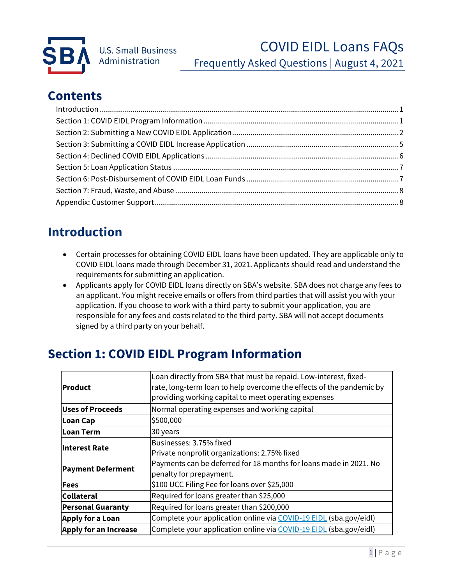

## **Contents**

# <span id="page-0-0"></span>**Introduction**

- Certain processes for obtaining COVID EIDL loans have been updated. They are applicable only to COVID EIDL loans made through December 31, 2021. Applicants should read and understand the requirements for submitting an application.
- Applicants apply for COVID EIDL loans directly on SBA's website. SBA does not charge any fees to an applicant. You might receive emails or offers from third parties that will assist you with your application. If you choose to work with a third party to submit your application, you are responsible for any fees and costs related to the third party. SBA will not accept documents signed by a third party on your behalf.

# <span id="page-0-1"></span>**Section 1: COVID EIDL Program Information**

| Product                      | Loan directly from SBA that must be repaid. Low-interest, fixed-<br>rate, long-term loan to help overcome the effects of the pandemic by<br>providing working capital to meet operating expenses |  |  |  |  |
|------------------------------|--------------------------------------------------------------------------------------------------------------------------------------------------------------------------------------------------|--|--|--|--|
| <b>Uses of Proceeds</b>      | Normal operating expenses and working capital                                                                                                                                                    |  |  |  |  |
| Loan Cap                     | \$500,000                                                                                                                                                                                        |  |  |  |  |
| Loan Term                    | 30 years                                                                                                                                                                                         |  |  |  |  |
| Interest Rate                | Businesses: 3.75% fixed                                                                                                                                                                          |  |  |  |  |
|                              | Private nonprofit organizations: 2.75% fixed                                                                                                                                                     |  |  |  |  |
| <b>Payment Deferment</b>     | Payments can be deferred for 18 months for loans made in 2021. No                                                                                                                                |  |  |  |  |
|                              | penalty for prepayment.                                                                                                                                                                          |  |  |  |  |
| <b>Fees</b>                  | \$100 UCC Filing Fee for loans over \$25,000                                                                                                                                                     |  |  |  |  |
| Collateral                   | Required for loans greater than \$25,000                                                                                                                                                         |  |  |  |  |
| <b>Personal Guaranty</b>     | Required for loans greater than \$200,000                                                                                                                                                        |  |  |  |  |
| <b>Apply for a Loan</b>      | Complete your application online via COVID-19 EIDL (sba.gov/eidl)                                                                                                                                |  |  |  |  |
| <b>Apply for an Increase</b> | Complete your application online via COVID-19 EIDL (sba.gov/eidl)                                                                                                                                |  |  |  |  |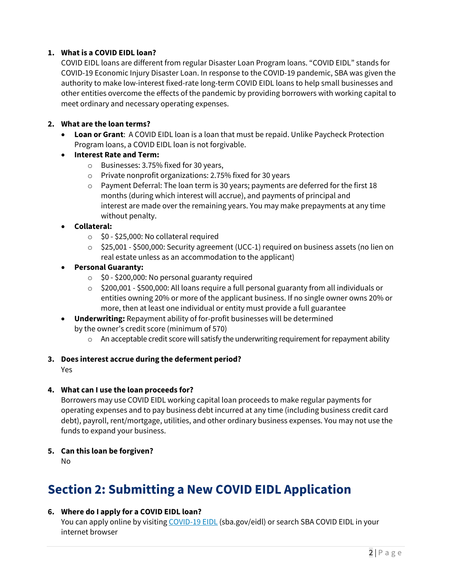## **1. What is a COVID EIDL loan?**

COVID EIDL loans are different from regular Disaster Loan Program loans. "COVID EIDL" stands for COVID-19 Economic Injury Disaster Loan. In response to the COVID-19 pandemic, SBA was given the authority to make low-interest fixed-rate long-term COVID EIDL loans to help small businesses and other entities overcome the effects of the pandemic by providing borrowers with working capital to meet ordinary and necessary operating expenses.

## **2. What are the loan terms?**

- **Loan or Grant**: A COVID EIDL loan is a loan that must be repaid. Unlike Paycheck Protection Program loans, a COVID EIDL loan is not forgivable.
- **Interest Rate and Term:** 
	- o Businesses: 3.75% fixed for 30 years,
	- o Private nonprofit organizations: 2.75% fixed for 30 years
	- $\circ$  Payment Deferral: The loan term is 30 years; payments are deferred for the first 18 months (during which interest will accrue), and payments of principal and interest are made over the remaining years. You may make prepayments at any time without penalty.
- **Collateral:** 
	- $\circ$  \$0 \$25,000: No collateral required
	- $\circ$  \$25,001 \$500,000: Security agreement (UCC-1) required on business assets (no lien on real estate unless as an accommodation to the applicant)
- **Personal Guaranty:** 
	- $\circ$  \$0 \$200,000: No personal guaranty required
	- o \$200,001 \$500,000: All loans require a full personal guaranty from all individuals or entities owning 20% or more of the applicant business. If no single owner owns 20% or more, then at least one individual or entity must provide a full guarantee
- **Underwriting:** Repayment ability of for-profit businesses will be determined by the owner's credit score (minimum of 570)
	- $\circ$  An acceptable credit score will satisfy the underwriting requirement for repayment ability

#### **3. Does interest accrue during the deferment period?**

Yes

#### **4. What can I use the loan proceeds for?**

Borrowers may use COVID EIDL working capital loan proceeds to make regular payments for operating expenses and to pay business debt incurred at any time (including business credit card debt), payroll, rent/mortgage, utilities, and other ordinary business expenses. You may not use the funds to expand your business.

**5. Can this loan be forgiven?**

No

## <span id="page-1-0"></span>**Section 2: Submitting a New COVID EIDL Application**

## **6. Where do I apply for a COVID EIDL loan?**

You can apply online by visiting [COVID-19 EIDL](http://sba.gov/eidl) (sba.gov/eidl) or search SBA COVID EIDL in your internet browser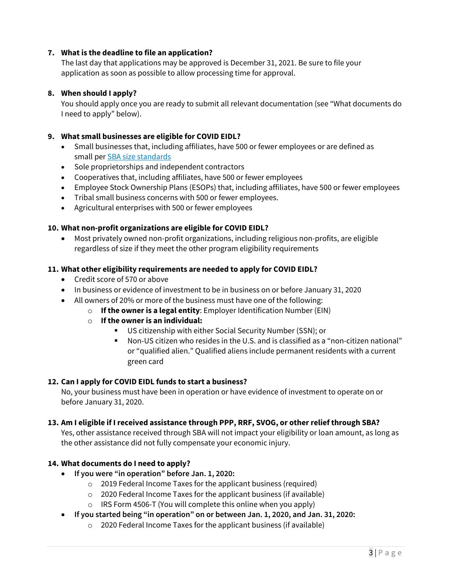## **7. What is the deadline to file an application?**

The last day that applications may be approved is December 31, 2021. Be sure to file your application as soon as possible to allow processing time for approval.

#### **8. When should I apply?**

You should apply once you are ready to submit all relevant documentation (see "What documents do I need to apply" below).

#### **9. What small businesses are eligible for COVID EIDL?**

- Small businesses that, including affiliates, have 500 or fewer employees or are defined as small per [SBA size standards](https://www.ecfr.gov/cgi-bin/text-idx?SID=cb05c5865100a4b063f4eea102fd7608&mc=true&node=pt13.1.121&rgn=div5#se13.1.121_1201)
- Sole proprietorships and independent contractors
- Cooperatives that, including affiliates, have 500 or fewer employees
- Employee Stock Ownership Plans (ESOPs) that, including affiliates, have 500 or fewer employees
- Tribal small business concerns with 500 or fewer employees.
- Agricultural enterprises with 500 or fewer employees

#### **10. What non-profit organizations are eligible for COVID EIDL?**

• Most privately owned non-profit organizations, including religious non-profits, are eligible regardless of size if they meet the other program eligibility requirements

#### **11. What other eligibility requirements are needed to apply for COVID EIDL?**

- Credit score of 570 or above
- In business or evidence of investment to be in business on or before January 31, 2020
- All owners of 20% or more of the business must have one of the following:
	- o **If the owner is a legal entity**: Employer Identification Number (EIN)
	- o **If the owner is an individual:** 
		- US citizenship with either Social Security Number (SSN); or
		- Non-US citizen who resides in the U.S. and is classified as a "non-citizen national" or "qualified alien." Qualified aliens include permanent residents with a current green card

#### **12. Can I apply for COVID EIDL funds to start a business?**

No, your business must have been in operation or have evidence of investment to operate on or before January 31, 2020.

#### **13. Am I eligible if I received assistance through PPP, RRF, SVOG, or other relief through SBA?**

Yes, other assistance received through SBA will not impact your eligibility or loan amount, as long as the other assistance did not fully compensate your economic injury.

#### **14. What documents do I need to apply?**

- **If you were "in operation" before Jan. 1, 2020:** 
	- o 2019 Federal Income Taxes for the applicant business (required)
	- o 2020 Federal Income Taxes for the applicant business (if available)
	- $\circ$  IRS Form 4506-T (You will complete this online when you apply)
- **If you started being "in operation" on or between Jan. 1, 2020, and Jan. 31, 2020:** 
	- o 2020 Federal Income Taxes for the applicant business (if available)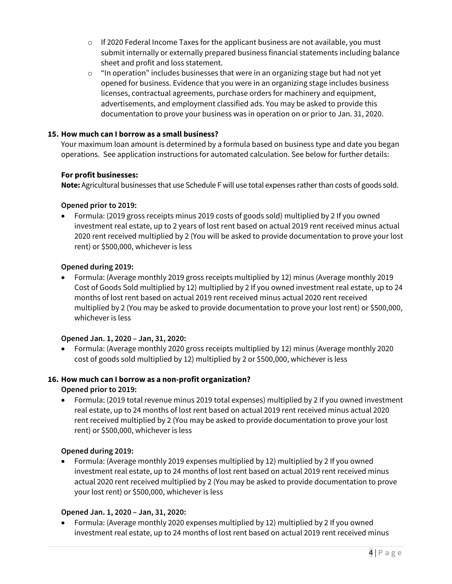- $\circ$  If 2020 Federal Income Taxes for the applicant business are not available, you must submit internally or externally prepared business financial statements including balance sheet and profit and loss statement.
- o "In operation" includes businesses that were in an organizing stage but had not yet opened for business. Evidence that you were in an organizing stage includes business licenses, contractual agreements, purchase orders for machinery and equipment, advertisements, and employment classified ads. You may be asked to provide this documentation to prove your business was in operation on or prior to Jan. 31, 2020.

## **15. How much can I borrow as a small business?**

Your maximum loan amount is determined by a formula based on business type and date you began operations. See application instructions for automated calculation. See below for further details:

## **For profit businesses:**

**Note:** Agricultural businesses that use Schedule F will use total expenses rather than costs of goods sold.

## **Opened prior to 2019:**

• Formula: (2019 gross receipts minus 2019 costs of goods sold) multiplied by 2 If you owned investment real estate, up to 2 years of lost rent based on actual 2019 rent received minus actual 2020 rent received multiplied by 2 (You will be asked to provide documentation to prove your lost rent) or \$500,000, whichever is less

## **Opened during 2019:**

• Formula: (Average monthly 2019 gross receipts multiplied by 12) minus (Average monthly 2019 Cost of Goods Sold multiplied by 12) multiplied by 2 If you owned investment real estate, up to 24 months of lost rent based on actual 2019 rent received minus actual 2020 rent received multiplied by 2 (You may be asked to provide documentation to prove your lost rent) or \$500,000, whichever is less

## **Opened Jan. 1, 2020 – Jan, 31, 2020:**

• Formula: (Average monthly 2020 gross receipts multiplied by 12) minus (Average monthly 2020 cost of goods sold multiplied by 12) multiplied by 2 or \$500,000, whichever is less

## **16. How much can I borrow as a non-profit organization?**

## **Opened prior to 2019:**

• Formula: (2019 total revenue minus 2019 total expenses) multiplied by 2 If you owned investment real estate, up to 24 months of lost rent based on actual 2019 rent received minus actual 2020 rent received multiplied by 2 (You may be asked to provide documentation to prove your lost rent) or \$500,000, whichever is less

#### **Opened during 2019:**

• Formula: (Average monthly 2019 expenses multiplied by 12) multiplied by 2 If you owned investment real estate, up to 24 months of lost rent based on actual 2019 rent received minus actual 2020 rent received multiplied by 2 (You may be asked to provide documentation to prove your lost rent) or \$500,000, whichever is less

#### **Opened Jan. 1, 2020 – Jan, 31, 2020:**

• Formula: (Average monthly 2020 expenses multiplied by 12) multiplied by 2 If you owned investment real estate, up to 24 months of lost rent based on actual 2019 rent received minus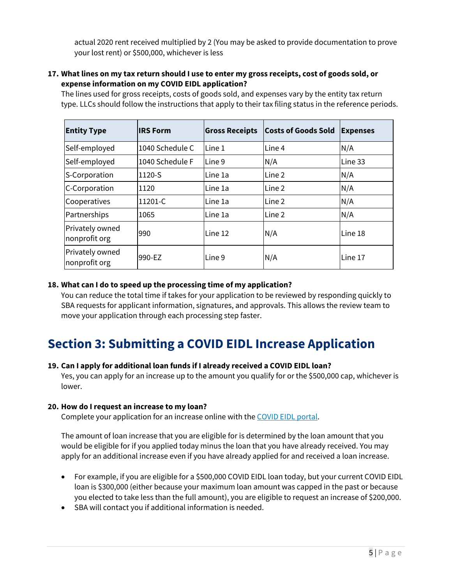actual 2020 rent received multiplied by 2 (You may be asked to provide documentation to prove your lost rent) or \$500,000, whichever is less

#### **17. What lines on my tax return should I use to enter my gross receipts, cost of goods sold, or expense information on my COVID EIDL application?**

The lines used for gross receipts, costs of goods sold, and expenses vary by the entity tax return type. LLCs should follow the instructions that apply to their tax filing status in the reference periods.

| <b>Entity Type</b>               | <b>IRS Form</b> | <b>Gross Receipts</b> | <b>Costs of Goods Sold</b> | <b>Expenses</b> |
|----------------------------------|-----------------|-----------------------|----------------------------|-----------------|
| Self-employed                    | 1040 Schedule C | Line 1                | Line 4                     | N/A             |
| Self-employed                    | 1040 Schedule F | Line 9                | N/A                        | Line 33         |
| S-Corporation                    | 1120-S          | Line 1a               | Line 2                     | N/A             |
| C-Corporation                    | 1120            | Line 1a               | Line 2                     | N/A             |
| Cooperatives                     | 11201-C         | Line 1a               | Line 2                     | N/A             |
| Partnerships                     | 1065            | Line 1a               | Line 2                     | N/A             |
| Privately owned<br>nonprofit org | 990             | Line 12               | N/A                        | Line 18         |
| Privately owned<br>nonprofit org | 990-EZ          | Line 9                | N/A                        | Line 17         |

## **18. What can I do to speed up the processing time of my application?**

You can reduce the total time if takes for your application to be reviewed by responding quickly to SBA requests for applicant information, signatures, and approvals. This allows the review team to move your application through each processing step faster.

# <span id="page-4-0"></span>**Section 3: Submitting a COVID EIDL Increase Application**

#### **19. Can I apply for additional loan funds if I already received a COVID EIDL loan?**

Yes, you can apply for an increase up to the amount you qualify for or the \$500,000 cap, whichever is lower.

#### **20. How do I request an increase to my loan?**

Complete your application for an increase online with the [COVID EIDL portal.](https://covid19relief1.sba.gov/)

The amount of loan increase that you are eligible for is determined by the loan amount that you would be eligible for if you applied today minus the loan that you have already received. You may apply for an additional increase even if you have already applied for and received a loan increase.

- For example, if you are eligible for a \$500,000 COVID EIDL loan today, but your current COVID EIDL loan is \$300,000 (either because your maximum loan amount was capped in the past or because you elected to take less than the full amount), you are eligible to request an increase of \$200,000.
- SBA will contact you if additional information is needed.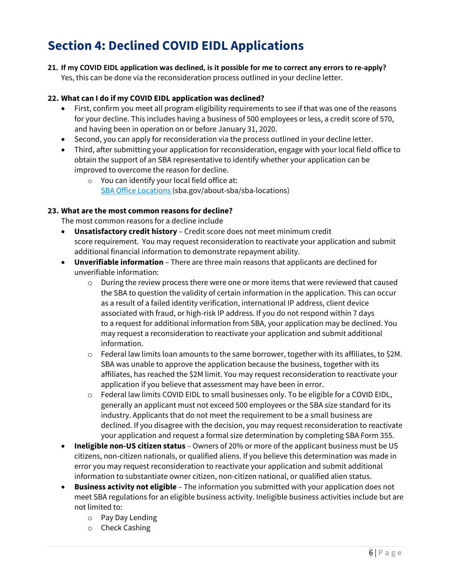# <span id="page-5-0"></span>**Section 4: Declined COVID EIDL Applications**

**21. If my COVID EIDL application was declined, is it possible for me to correct any errors to re-apply?** Yes, this can be done via the reconsideration process outlined in your decline letter.

## **22. What can I do if my COVID EIDL application was declined?**

- First, confirm you meet all program eligibility requirements to see if that was one of the reasons for your decline. This includes having a business of 500 employees or less, a credit score of 570, and having been in operation on or before January 31, 2020.
- Second, you can apply for reconsideration via the process outlined in your decline letter.
- Third, after submitting your application for reconsideration, engage with your local field office to obtain the support of an SBA representative to identify whether your application can be improved to overcome the reason for decline.
	- o You can identify your local field office at: [SBA Office Locations](https://www.sba.gov/about-sba/sba-locations) (sba.gov/about-sba/sba-locations)

## **23. What are the most common reasons for decline?**

The most common reasons for a decline include

- **Unsatisfactory credit history** Credit score does not meet minimum credit score requirement. You may request reconsideration to reactivate your application and submit additional financial information to demonstrate repayment ability.
- **Unverifiable information** There are three main reasons that applicants are declined for unverifiable information:
	- $\circ$  During the review process there were one or more items that were reviewed that caused the SBA to question the validity of certain information in the application. This can occur as a result of a failed identity verification, international IP address, client device associated with fraud, or high-risk IP address. If you do not respond within 7 days to a request for additional information from SBA, your application may be declined. You may request a reconsideration to reactivate your application and submit additional information.
	- $\circ$  Federal law limits loan amounts to the same borrower, together with its affiliates, to \$2M. SBA was unable to approve the application because the business, together with its affiliates, has reached the \$2M limit. You may request reconsideration to reactivate your application if you believe that assessment may have been in error.
	- $\circ$  Federal law limits COVID EIDL to small businesses only. To be eligible for a COVID EIDL, generally an applicant must not exceed 500 employees or the SBA size standard for its industry. Applicants that do not meet the requirement to be a small business are declined. If you disagree with the decision, you may request reconsideration to reactivate your application and request a formal size determination by completing SBA Form 355.
- **Ineligible non-US citizen status** Owners of 20% or more of the applicant business must be US citizens, non-citizen nationals, or qualified aliens. If you believe this determination was made in error you may request reconsideration to reactivate your application and submit additional information to substantiate owner citizen, non-citizen national, or qualified alien status.
- **Business activity not eligible** The information you submitted with your application does not meet SBA regulations for an eligible business activity. Ineligible business activities include but are not limited to:
	- o Pay Day Lending
	- o Check Cashing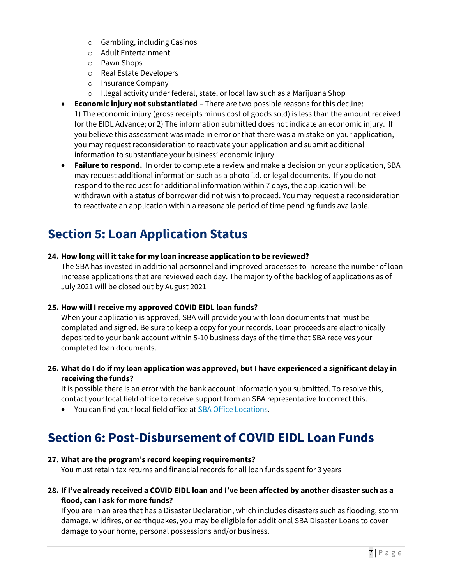- o Gambling, including Casinos
- o Adult Entertainment
- o Pawn Shops
- o Real Estate Developers
- o Insurance Company
- o Illegal activity under federal, state, or local law such as a Marijuana Shop
- **Economic injury not substantiated** There are two possible reasons for this decline: 1) The economic injury (gross receipts minus cost of goods sold) is less than the amount received for the EIDL Advance; or 2) The information submitted does not indicate an economic injury. If you believe this assessment was made in error or that there was a mistake on your application, you may request reconsideration to reactivate your application and submit additional information to substantiate your business' economic injury.
- **Failure to respond.** In order to complete a review and make a decision on your application, SBA may request additional information such as a photo i.d. or legal documents. If you do not respond to the request for additional information within 7 days, the application will be withdrawn with a status of borrower did not wish to proceed. You may request a reconsideration to reactivate an application within a reasonable period of time pending funds available.

# <span id="page-6-0"></span>**Section 5: Loan Application Status**

#### **24. How long will it take for my loan increase application to be reviewed?**

The SBA has invested in additional personnel and improved processes to increase the number of loan increase applications that are reviewed each day. The majority of the backlog of applications as of July 2021 will be closed out by August 2021

#### **25. How will I receive my approved COVID EIDL loan funds?**

When your application is approved, SBA will provide you with loan documents that must be completed and signed. Be sure to keep a copy for your records. Loan proceeds are electronically deposited to your bank account within 5-10 business days of the time that SBA receives your completed loan documents.

**26. What do I do if my loan application was approved, but I have experienced a significant delay in receiving the funds?**

It is possible there is an error with the bank account information you submitted. To resolve this, contact your local field office to receive support from an SBA representative to correct this.

• You can find your local field office at **SBA Office Locations**.

## <span id="page-6-1"></span>**Section 6: Post-Disbursement of COVID EIDL Loan Funds**

#### **27. What are the program's record keeping requirements?**

You must retain tax returns and financial records for all loan funds spent for 3 years

## **28. If I've already received a COVID EIDL loan and I've been affected by another disaster such as a flood, can I ask for more funds?**

If you are in an area that has a Disaster Declaration, which includes disasters such as flooding, storm damage, wildfires, or earthquakes, you may be eligible for additional SBA Disaster Loans to cover damage to your home, personal possessions and/or business.